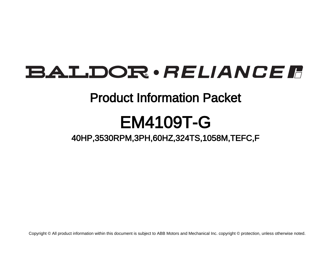# BALDOR · RELIANCE F

### Product Information Packet

# EM4109T-G

40HP,3530RPM,3PH,60HZ,324TS,1058M,TEFC,F

Copyright © All product information within this document is subject to ABB Motors and Mechanical Inc. copyright © protection, unless otherwise noted.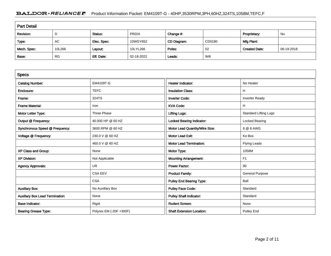### BALDOR · RELIANCE F Product Information Packet: EM4109T-G - 40HP,3530RPM,3PH,60HZ,324TS,1058M,TEFC,F

| <b>Part Detail</b> |           |             |            |             |        |                      |            |  |  |
|--------------------|-----------|-------------|------------|-------------|--------|----------------------|------------|--|--|
| Revision:          | D         | Status:     | PRD/A      | Change #:   |        | Proprietary:         | No         |  |  |
| Type:              | AC        | Elec. Spec: | 10WGY652   | CD Diagram: | CD0180 | Mfg Plant:           |            |  |  |
| Mech. Spec:        | 10L266    | Layout:     | 10LYL266   | Poles:      | 02     | <b>Created Date:</b> | 06-19-2018 |  |  |
| Base:              | <b>RG</b> | Eff. Date:  | 02-18-2022 | Leads:      | 9#8    |                      |            |  |  |

| <b>Specs</b>                           |                         |                                  |                              |
|----------------------------------------|-------------------------|----------------------------------|------------------------------|
| <b>Catalog Number:</b>                 | EM4109T-G               | <b>Heater Indicator:</b>         | No Heater                    |
| Enclosure:                             | <b>TEFC</b>             | <b>Insulation Class:</b>         | н                            |
| Frame:                                 | 324TS                   | <b>Inverter Code:</b>            | <b>Inverter Ready</b>        |
| <b>Frame Material:</b>                 | Iron                    | <b>KVA Code:</b>                 | н                            |
| Motor Letter Type:                     | <b>Three Phase</b>      | <b>Lifting Lugs:</b>             | <b>Standard Lifting Lugs</b> |
| Output @ Frequency:                    | 40,000 HP @ 60 HZ       | <b>Locked Bearing Indicator:</b> | Locked Bearing               |
| Synchronous Speed @ Frequency:         | 3600 RPM @ 60 HZ        | Motor Lead Quantity/Wire Size:   | 9 @ 8 AWG                    |
| Voltage @ Frequency:                   | 230.0 V @ 60 HZ         | <b>Motor Lead Exit:</b>          | Ko Box                       |
|                                        | 460.0 V @ 60 HZ         | <b>Motor Lead Termination:</b>   | <b>Flying Leads</b>          |
| XP Class and Group:                    | None                    | Motor Type:                      | 1058M                        |
| <b>XP Division:</b>                    | Not Applicable          | <b>Mounting Arrangement:</b>     | F <sub>1</sub>               |
| <b>Agency Approvals:</b>               | <b>UR</b>               | <b>Power Factor:</b>             | 90                           |
|                                        | <b>CSA EEV</b>          | <b>Product Family:</b>           | <b>General Purpose</b>       |
|                                        | <b>CSA</b>              | <b>Pulley End Bearing Type:</b>  | Ball                         |
| <b>Auxillary Box:</b>                  | No Auxillary Box        | <b>Pulley Face Code:</b>         | Standard                     |
| <b>Auxillary Box Lead Termination:</b> | None                    | <b>Pulley Shaft Indicator:</b>   | Standard                     |
| <b>Base Indicator:</b>                 | Rigid                   | <b>Rodent Screen:</b>            | None                         |
| <b>Bearing Grease Type:</b>            | Polyrex EM (-20F +300F) | <b>Shaft Extension Location:</b> | Pulley End                   |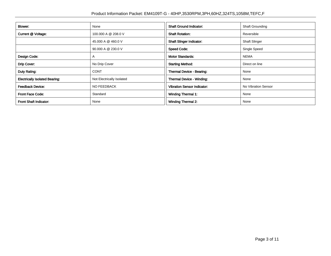| <b>Blower:</b>                        | None                      | <b>Shaft Ground Indicator:</b>     | <b>Shaft Grounding</b> |
|---------------------------------------|---------------------------|------------------------------------|------------------------|
| Current @ Voltage:                    | 100,000 A @ 208.0 V       | <b>Shaft Rotation:</b>             | Reversible             |
|                                       | 45.000 A @ 460.0 V        | <b>Shaft Slinger Indicator:</b>    | <b>Shaft Slinger</b>   |
|                                       | 90.000 A @ 230.0 V        | <b>Speed Code:</b>                 | Single Speed           |
| Design Code:                          | A                         | <b>Motor Standards:</b>            | <b>NEMA</b>            |
| Drip Cover:                           | No Drip Cover             | <b>Starting Method:</b>            | Direct on line         |
| Duty Rating:                          | <b>CONT</b>               | Thermal Device - Bearing:          | None                   |
| <b>Electrically Isolated Bearing:</b> | Not Electrically Isolated | <b>Thermal Device - Winding:</b>   | None                   |
| <b>Feedback Device:</b>               | <b>NO FEEDBACK</b>        | <b>Vibration Sensor Indicator:</b> | No Vibration Sensor    |
| <b>Front Face Code:</b>               | Standard                  | Winding Thermal 1:                 | None                   |
| Front Shaft Indicator:                | None                      | <b>Winding Thermal 2:</b>          | None                   |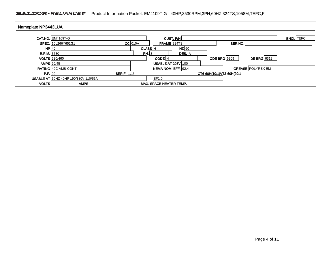#### BALDOR · RELIANCE F Product Information Packet: EM4109T-G - 40HP,3530RPM,3PH,60HZ,324TS,1058M,TEFC,F

| Nameplate NP3443LUA |                            |                                             |             |                |                                |             |                           |                          |                  |
|---------------------|----------------------------|---------------------------------------------|-------------|----------------|--------------------------------|-------------|---------------------------|--------------------------|------------------|
|                     | <b>CAT.NO. EM4109T-G</b>   |                                             |             |                |                                | CUST. $P/N$ |                           |                          | <b>ENCL</b> TEFC |
|                     | SPEC. 10L266Y652G1         |                                             |             | $CC$ 010A      |                                | FRAME 324TS | SER.NO.                   |                          |                  |
| HP 40               |                            |                                             |             | <b>CLASS H</b> |                                | $HZ$ 60     |                           |                          |                  |
| R.P.M. 3530         |                            |                                             |             | PH.3           |                                | DES. A      |                           |                          |                  |
|                     | <b>VOLTS</b> 230/460       |                                             |             |                | CODE H                         |             | ODE BRG 6309              | DE BRG 6312              |                  |
| <b>AMPS 90/45</b>   |                            |                                             |             |                | <b>USABLE AT 208V 100</b>      |             |                           |                          |                  |
|                     | <b>RATING 40C AMB-CONT</b> |                                             |             |                | NEMA NOM. EFF. 92.4            |             |                           | <b>GREASE POLYREX EM</b> |                  |
| P.F. 90             |                            |                                             | SER.F. 1.15 |                |                                |             | CT6-60H(10:1)VT3-60H(20:1 |                          |                  |
|                     |                            | <b>USABLE AT 50HZ 40HP 190/380V 110/55A</b> |             |                | SF1.0                          |             |                           |                          |                  |
| <b>VOLTS</b>        |                            | AMPS                                        |             |                | <b>MAX, SPACE HEATER TEMP.</b> |             |                           |                          |                  |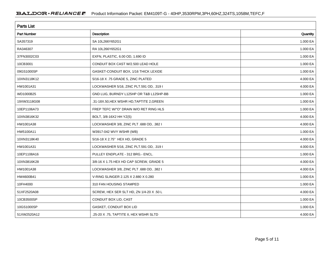| <b>Parts List</b>  |                                           |          |  |  |  |  |
|--------------------|-------------------------------------------|----------|--|--|--|--|
| <b>Part Number</b> | <b>Description</b>                        | Quantity |  |  |  |  |
| SA357319           | SA 10L266Y652G1                           | 1.000 EA |  |  |  |  |
| RA346307           | RA 10L266Y652G1                           | 1.000 EA |  |  |  |  |
| 37FN3002C03        | EXFN, PLASTIC, 6.00 OD, 1.690 ID          | 1.000 EA |  |  |  |  |
| 10CB3001           | CONDUIT BOX CAST W/2.500 LEAD HOLE        | 1.000 EA |  |  |  |  |
| 09GS1000SP         | GASKET-CONDUIT BOX, 1/16 THICK LEXIDE     | 1.000 EA |  |  |  |  |
| 10XN3118K12        | 5/16-18 X .75 GRADE 5, ZINC PLATED        | 4.000 EA |  |  |  |  |
| HW1001A31          | LOCKWASHER 5/16, ZINC PLT.591 OD, .319 I  | 4.000 EA |  |  |  |  |
| WD1000B25          | GND LUG, BURNDY L125HP OR T&B L125HP-BB   | 1.000 EA |  |  |  |  |
| 19XW3118G08        | .31-18X.50, HEX WSHR HD, TAPTITE 2, GREEN | 1.000 EA |  |  |  |  |
| 10EP1106A73        | FREP TEFC W/"O" DRAIN W/O RET RING HLS    | 1.000 EA |  |  |  |  |
| 10XN3816K32        | BOLT, 3/8-16X2 HH YZ(5)                   | 4.000 EA |  |  |  |  |
| HW1001A38          | LOCKWASHER 3/8, ZINC PLT .688 OD, .382 I  | 4.000 EA |  |  |  |  |
| HW5100A11          | W3917-042 WVY WSHR (WB)                   | 1.000 EA |  |  |  |  |
| 10XN3118K40        | 5/16-18 X 2.75" HEX HD, GRADE 5           | 4.000 EA |  |  |  |  |
| HW1001A31          | LOCKWASHER 5/16, ZINC PLT.591 OD, .319 I  | 4.000 EA |  |  |  |  |
| 10EP1108A16        | PULLEY ENDPLATE - 312 BRG.- ENCL.         | 1.000 EA |  |  |  |  |
| 10XN3816K28        | 3/8-16 X 1.75 HEX HD CAP SCREW, GRADE 5   | 4.000 EA |  |  |  |  |
| HW1001A38          | LOCKWASHER 3/8, ZINC PLT .688 OD, .382 I  | 4.000 EA |  |  |  |  |
| HW4600B41          | V-RING SLINGER 2.125 X 2.880 X 0.280      | 1.000 EA |  |  |  |  |
| 10FH4000           | 310 FAN HOUSING STAMPED                   | 1.000 EA |  |  |  |  |
| 51XF2520A08        | SCREW, HEX SER SLT HD, ZN 1/4-20 X .50 L  | 4.000 EA |  |  |  |  |
| 10CB3500SP         | CONDUIT BOX LID, CAST                     | 1.000 EA |  |  |  |  |
| 10GS1000SP         | GASKET, CONDUIT BOX LID                   | 1.000 EA |  |  |  |  |
| 51XW2520A12        | .25-20 X .75, TAPTITE II, HEX WSHR SLTD   | 4.000 EA |  |  |  |  |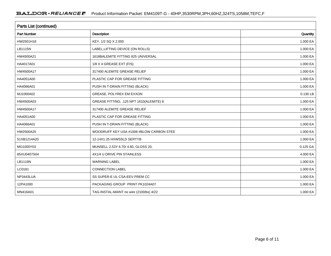| <b>Parts List (continued)</b> |                                          |          |  |  |  |  |  |
|-------------------------------|------------------------------------------|----------|--|--|--|--|--|
| <b>Part Number</b>            | Description                              | Quantity |  |  |  |  |  |
| HW2501H18                     | KEY, 1/2 SQ X 2.000                      | 1.000 EA |  |  |  |  |  |
| LB1115N                       | LABEL, LIFTING DEVICE (ON ROLLS)         | 1.000 EA |  |  |  |  |  |
| HW4500A21                     | 1618BALEMITE FITTING 825 UNIVERSAL       | 1.000 EA |  |  |  |  |  |
| HA4017A01                     | 1/8 X 4 GREASE EXT (F/S)                 | 1.000 EA |  |  |  |  |  |
| HW4500A17                     | 317400 ALEMITE GREASE RELIEF             | 1.000 EA |  |  |  |  |  |
| HA4051A00                     | PLASTIC CAP FOR GREASE FITTING           | 1.000 EA |  |  |  |  |  |
| HA4066A01                     | PUSH IN T-DRAIN FITTING (BLACK)          | 1.000 EA |  |  |  |  |  |
| MJ1000A02                     | GREASE, POLYREX EM EXXON                 | 0.130 LB |  |  |  |  |  |
| HW4500A03                     | GREASE FITTING, .125 NPT 1610(ALEMITE) 8 | 1.000 EA |  |  |  |  |  |
| HW4500A17                     | 317400 ALEMITE GREASE RELIEF             | 1.000 EA |  |  |  |  |  |
| HA4051A00                     | PLASTIC CAP FOR GREASE FITTING           | 1.000 EA |  |  |  |  |  |
| HA4066A01                     | PUSH IN T-DRAIN FITTING (BLACK)          | 1.000 EA |  |  |  |  |  |
| HW2500A25                     | WOODRUFF KEY USA #1008 #BLOW CARBON STEE | 1.000 EA |  |  |  |  |  |
| 51XB1214A20                   | 12-14X1.25 HXWSSLD SERTYB                | 1.000 EA |  |  |  |  |  |
| MG1000Y03                     | MUNSELL 2.53Y 6.70/ 4.60, GLOSS 20,      | 0.125 GA |  |  |  |  |  |
| 85XU0407S04                   | 4X1/4 U DRIVE PIN STAINLESS              | 4.000 EA |  |  |  |  |  |
| LB1119N                       | <b>WARNING LABEL</b>                     | 1.000 EA |  |  |  |  |  |
| LC0181                        | <b>CONNECTION LABEL</b>                  | 1.000 EA |  |  |  |  |  |
| NP3443LUA                     | SS SUPER-E UL CSA-EEV PREM CC            | 1.000 EA |  |  |  |  |  |
| 12PA1000                      | PACKAGING GROUP PRINT PK1024A07          | 1.000 EA |  |  |  |  |  |
| MN416A01                      | TAG-INSTAL-MAINT no wire (2100/bx) 4/22  | 1.000 EA |  |  |  |  |  |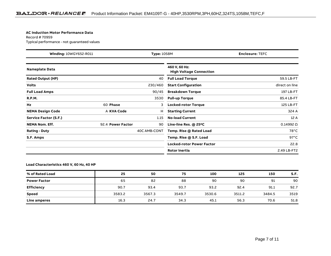#### **AC Induction Motor Performance Data**

Record # 70959Typical performance - not guaranteed values

| Winding: 10WGY652-R011   |                   | <b>Type: 1058M</b><br><b>Enclosure: TEFC</b> |                                                 |                  |  |
|--------------------------|-------------------|----------------------------------------------|-------------------------------------------------|------------------|--|
| <b>Nameplate Data</b>    |                   |                                              | 460 V, 60 Hz:<br><b>High Voltage Connection</b> |                  |  |
| <b>Rated Output (HP)</b> |                   | 40                                           | <b>Full Load Torque</b>                         | 59.5 LB-FT       |  |
| <b>Volts</b>             |                   | 230/460                                      | <b>Start Configuration</b>                      | direct on line   |  |
| <b>Full Load Amps</b>    |                   | 90/45                                        | <b>Breakdown Torque</b>                         | 197 LB-FT        |  |
| <b>R.P.M.</b>            |                   | 3530                                         | <b>Pull-up Torque</b>                           | 85.4 LB-FT       |  |
| Hz                       | 60 Phase          | 3                                            | <b>Locked-rotor Torque</b>                      | 125 LB-FT        |  |
| <b>NEMA Design Code</b>  | A KVA Code        | н                                            | <b>Starting Current</b>                         | 324 A            |  |
| Service Factor (S.F.)    |                   | 1.15                                         | <b>No-load Current</b>                          | 12 A             |  |
| <b>NEMA Nom. Eff.</b>    | 92.4 Power Factor | 90                                           | Line-line Res. $@$ 25 $°C$                      | $0.14992 \Omega$ |  |
| <b>Rating - Duty</b>     |                   | 40C AMB-CONT                                 | Temp. Rise @ Rated Load                         | $78^{\circ}$ C   |  |
| S.F. Amps                |                   |                                              | Temp. Rise @ S.F. Load                          | $97^{\circ}$ C   |  |
|                          |                   |                                              | <b>Locked-rotor Power Factor</b>                | 22.8             |  |
|                          |                   |                                              | <b>Rotor inertia</b>                            | 2.49 LB-FT2      |  |

**Load Characteristics 460 V, 60 Hz, 40 HP**

| % of Rated Load     | 25     | 50     | 75     | 100    | 125    | 150    | S.F. |
|---------------------|--------|--------|--------|--------|--------|--------|------|
| <b>Power Factor</b> | 65     | 82     | 88     | 90     | 90     | 91     | 90   |
| <b>Efficiency</b>   | 90.7   | 93.4   | 93.7   | 93.2   | 92.4   | 91.1   | 92.7 |
| Speed               | 3583.2 | 3567.3 | 3549.7 | 3530.6 | 3511.2 | 3484.5 | 3519 |
| Line amperes        | 16.3   | 24.7   | 34.3   | 45.1   | 56.3   | 70.6   | 51.8 |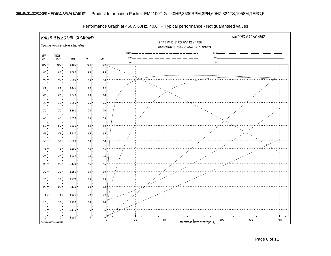

Performance Graph at 460V, 60Hz, 40.0HP Typical performance - Not guaranteed values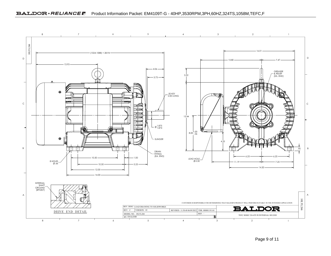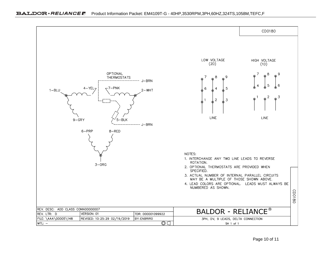